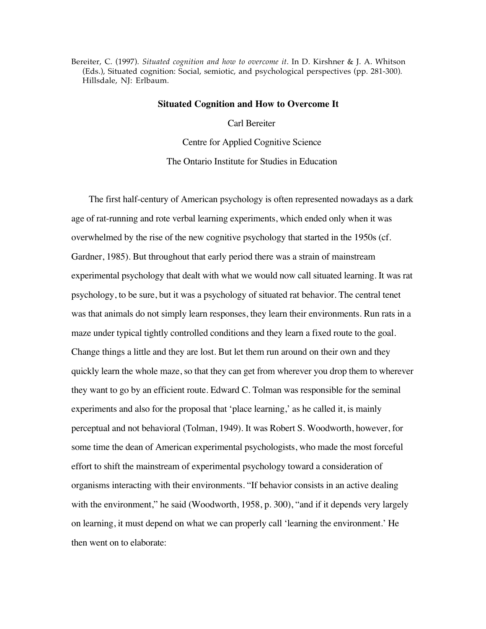Bereiter, C. (1997). *Situated cognition and how to overcome it*. In D. Kirshner & J. A. Whitson (Eds.), Situated cognition: Social, semiotic, and psychological perspectives (pp. 281-300). Hillsdale, NJ: Erlbaum.

### **Situated Cognition and How to Overcome It**

Carl Bereiter

Centre for Applied Cognitive Science The Ontario Institute for Studies in Education

The first half-century of American psychology is often represented nowadays as a dark age of rat-running and rote verbal learning experiments, which ended only when it was overwhelmed by the rise of the new cognitive psychology that started in the 1950s (cf. Gardner, 1985). But throughout that early period there was a strain of mainstream experimental psychology that dealt with what we would now call situated learning. It was rat psychology, to be sure, but it was a psychology of situated rat behavior. The central tenet was that animals do not simply learn responses, they learn their environments. Run rats in a maze under typical tightly controlled conditions and they learn a fixed route to the goal. Change things a little and they are lost. But let them run around on their own and they quickly learn the whole maze, so that they can get from wherever you drop them to wherever they want to go by an efficient route. Edward C. Tolman was responsible for the seminal experiments and also for the proposal that 'place learning,' as he called it, is mainly perceptual and not behavioral (Tolman, 1949). It was Robert S. Woodworth, however, for some time the dean of American experimental psychologists, who made the most forceful effort to shift the mainstream of experimental psychology toward a consideration of organisms interacting with their environments. "If behavior consists in an active dealing with the environment," he said (Woodworth, 1958, p. 300), "and if it depends very largely on learning, it must depend on what we can properly call 'learning the environment.' He then went on to elaborate: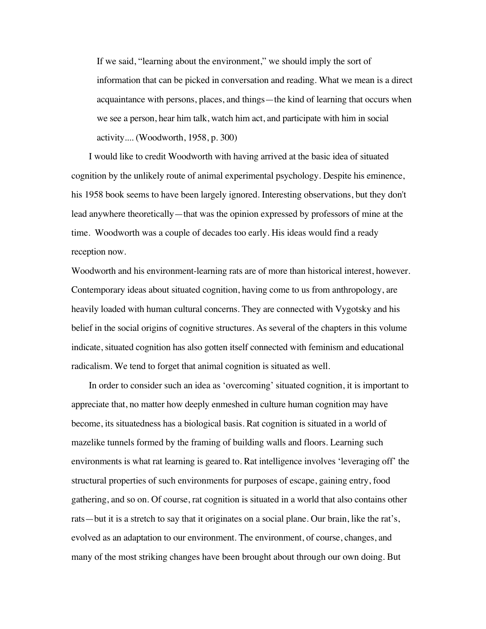If we said, "learning about the environment," we should imply the sort of information that can be picked in conversation and reading. What we mean is a direct acquaintance with persons, places, and things—the kind of learning that occurs when we see a person, hear him talk, watch him act, and participate with him in social activity.... (Woodworth, 1958, p. 300)

I would like to credit Woodworth with having arrived at the basic idea of situated cognition by the unlikely route of animal experimental psychology. Despite his eminence, his 1958 book seems to have been largely ignored. Interesting observations, but they don't lead anywhere theoretically—that was the opinion expressed by professors of mine at the time. Woodworth was a couple of decades too early. His ideas would find a ready reception now.

Woodworth and his environment-learning rats are of more than historical interest, however. Contemporary ideas about situated cognition, having come to us from anthropology, are heavily loaded with human cultural concerns. They are connected with Vygotsky and his belief in the social origins of cognitive structures. As several of the chapters in this volume indicate, situated cognition has also gotten itself connected with feminism and educational radicalism. We tend to forget that animal cognition is situated as well.

In order to consider such an idea as 'overcoming' situated cognition, it is important to appreciate that, no matter how deeply enmeshed in culture human cognition may have become, its situatedness has a biological basis. Rat cognition is situated in a world of mazelike tunnels formed by the framing of building walls and floors. Learning such environments is what rat learning is geared to. Rat intelligence involves 'leveraging off' the structural properties of such environments for purposes of escape, gaining entry, food gathering, and so on. Of course, rat cognition is situated in a world that also contains other rats—but it is a stretch to say that it originates on a social plane. Our brain, like the rat's, evolved as an adaptation to our environment. The environment, of course, changes, and many of the most striking changes have been brought about through our own doing. But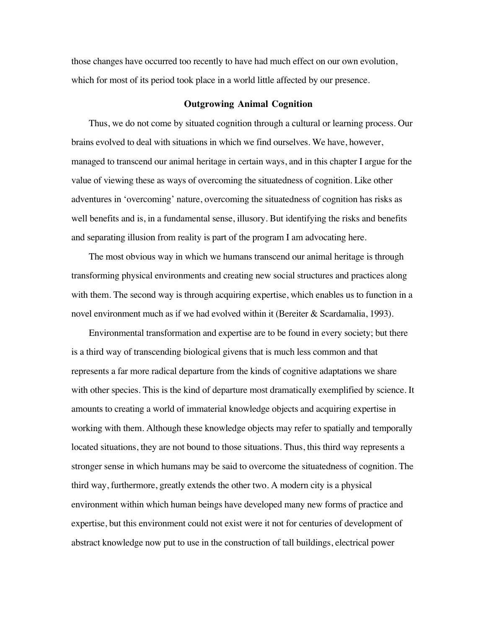those changes have occurred too recently to have had much effect on our own evolution, which for most of its period took place in a world little affected by our presence.

# **Outgrowing Animal Cognition**

Thus, we do not come by situated cognition through a cultural or learning process. Our brains evolved to deal with situations in which we find ourselves. We have, however, managed to transcend our animal heritage in certain ways, and in this chapter I argue for the value of viewing these as ways of overcoming the situatedness of cognition. Like other adventures in 'overcoming' nature, overcoming the situatedness of cognition has risks as well benefits and is, in a fundamental sense, illusory. But identifying the risks and benefits and separating illusion from reality is part of the program I am advocating here.

The most obvious way in which we humans transcend our animal heritage is through transforming physical environments and creating new social structures and practices along with them. The second way is through acquiring expertise, which enables us to function in a novel environment much as if we had evolved within it (Bereiter & Scardamalia, 1993).

Environmental transformation and expertise are to be found in every society; but there is a third way of transcending biological givens that is much less common and that represents a far more radical departure from the kinds of cognitive adaptations we share with other species. This is the kind of departure most dramatically exemplified by science. It amounts to creating a world of immaterial knowledge objects and acquiring expertise in working with them. Although these knowledge objects may refer to spatially and temporally located situations, they are not bound to those situations. Thus, this third way represents a stronger sense in which humans may be said to overcome the situatedness of cognition. The third way, furthermore, greatly extends the other two. A modern city is a physical environment within which human beings have developed many new forms of practice and expertise, but this environment could not exist were it not for centuries of development of abstract knowledge now put to use in the construction of tall buildings, electrical power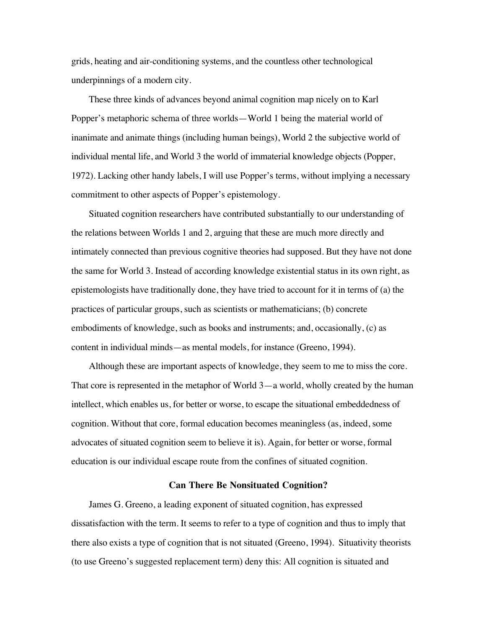grids, heating and air-conditioning systems, and the countless other technological underpinnings of a modern city.

These three kinds of advances beyond animal cognition map nicely on to Karl Popper's metaphoric schema of three worlds—World 1 being the material world of inanimate and animate things (including human beings), World 2 the subjective world of individual mental life, and World 3 the world of immaterial knowledge objects (Popper, 1972). Lacking other handy labels, I will use Popper's terms, without implying a necessary commitment to other aspects of Popper's epistemology.

Situated cognition researchers have contributed substantially to our understanding of the relations between Worlds 1 and 2, arguing that these are much more directly and intimately connected than previous cognitive theories had supposed. But they have not done the same for World 3. Instead of according knowledge existential status in its own right, as epistemologists have traditionally done, they have tried to account for it in terms of (a) the practices of particular groups, such as scientists or mathematicians; (b) concrete embodiments of knowledge, such as books and instruments; and, occasionally, (c) as content in individual minds—as mental models, for instance (Greeno, 1994).

Although these are important aspects of knowledge, they seem to me to miss the core. That core is represented in the metaphor of World 3—a world, wholly created by the human intellect, which enables us, for better or worse, to escape the situational embeddedness of cognition. Without that core, formal education becomes meaningless (as, indeed, some advocates of situated cognition seem to believe it is). Again, for better or worse, formal education is our individual escape route from the confines of situated cognition.

## **Can There Be Nonsituated Cognition?**

James G. Greeno, a leading exponent of situated cognition, has expressed dissatisfaction with the term. It seems to refer to a type of cognition and thus to imply that there also exists a type of cognition that is not situated (Greeno, 1994). Situativity theorists (to use Greeno's suggested replacement term) deny this: All cognition is situated and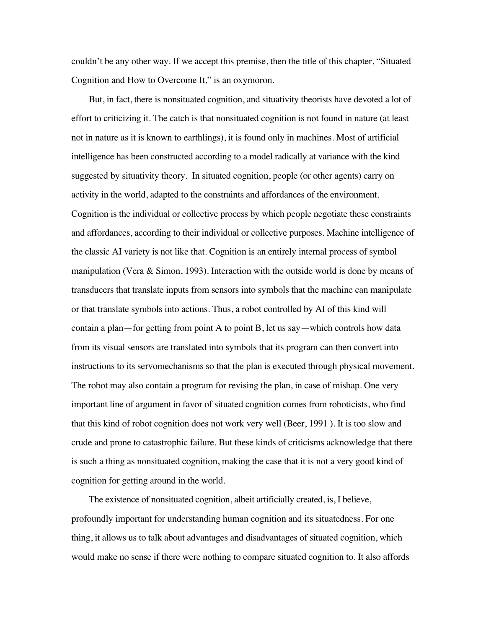couldn't be any other way. If we accept this premise, then the title of this chapter, "Situated Cognition and How to Overcome It," is an oxymoron.

But, in fact, there is nonsituated cognition, and situativity theorists have devoted a lot of effort to criticizing it. The catch is that nonsituated cognition is not found in nature (at least not in nature as it is known to earthlings), it is found only in machines. Most of artificial intelligence has been constructed according to a model radically at variance with the kind suggested by situativity theory. In situated cognition, people (or other agents) carry on activity in the world, adapted to the constraints and affordances of the environment. Cognition is the individual or collective process by which people negotiate these constraints and affordances, according to their individual or collective purposes. Machine intelligence of the classic AI variety is not like that. Cognition is an entirely internal process of symbol manipulation (Vera & Simon, 1993). Interaction with the outside world is done by means of transducers that translate inputs from sensors into symbols that the machine can manipulate or that translate symbols into actions. Thus, a robot controlled by AI of this kind will contain a plan—for getting from point A to point B, let us say—which controls how data from its visual sensors are translated into symbols that its program can then convert into instructions to its servomechanisms so that the plan is executed through physical movement. The robot may also contain a program for revising the plan, in case of mishap. One very important line of argument in favor of situated cognition comes from roboticists, who find that this kind of robot cognition does not work very well (Beer, 1991 ). It is too slow and crude and prone to catastrophic failure. But these kinds of criticisms acknowledge that there is such a thing as nonsituated cognition, making the case that it is not a very good kind of cognition for getting around in the world.

The existence of nonsituated cognition, albeit artificially created, is, I believe, profoundly important for understanding human cognition and its situatedness. For one thing, it allows us to talk about advantages and disadvantages of situated cognition, which would make no sense if there were nothing to compare situated cognition to. It also affords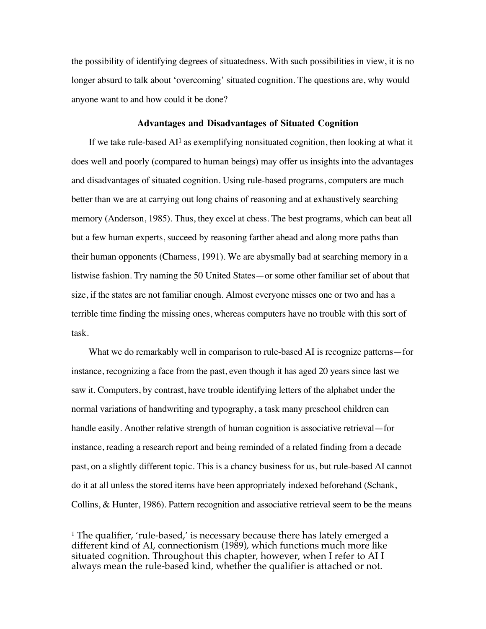the possibility of identifying degrees of situatedness. With such possibilities in view, it is no longer absurd to talk about 'overcoming' situated cognition. The questions are, why would anyone want to and how could it be done?

## **Advantages and Disadvantages of Situated Cognition**

If we take rule-based  $AI<sup>1</sup>$  as exemplifying nonsituated cognition, then looking at what it does well and poorly (compared to human beings) may offer us insights into the advantages and disadvantages of situated cognition. Using rule-based programs, computers are much better than we are at carrying out long chains of reasoning and at exhaustively searching memory (Anderson, 1985). Thus, they excel at chess. The best programs, which can beat all but a few human experts, succeed by reasoning farther ahead and along more paths than their human opponents (Charness, 1991). We are abysmally bad at searching memory in a listwise fashion. Try naming the 50 United States—or some other familiar set of about that size, if the states are not familiar enough. Almost everyone misses one or two and has a terrible time finding the missing ones, whereas computers have no trouble with this sort of task.

What we do remarkably well in comparison to rule-based AI is recognize patterns—for instance, recognizing a face from the past, even though it has aged 20 years since last we saw it. Computers, by contrast, have trouble identifying letters of the alphabet under the normal variations of handwriting and typography, a task many preschool children can handle easily. Another relative strength of human cognition is associative retrieval—for instance, reading a research report and being reminded of a related finding from a decade past, on a slightly different topic. This is a chancy business for us, but rule-based AI cannot do it at all unless the stored items have been appropriately indexed beforehand (Schank, Collins, & Hunter, 1986). Pattern recognition and associative retrieval seem to be the means

 $\overline{a}$ 1 The qualifier, 'rule-based,' is necessary because there has lately emerged a different kind of AI, connectionism (1989), which functions much more like situated cognition. Throughout this chapter, however, when I refer to AI I always mean the rule-based kind, whether the qualifier is attached or not.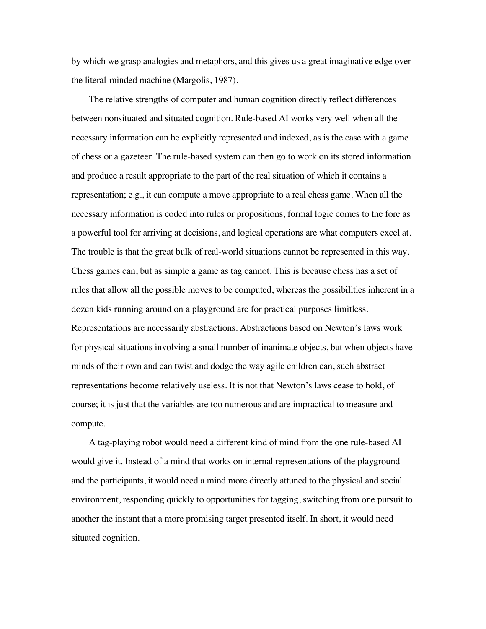by which we grasp analogies and metaphors, and this gives us a great imaginative edge over the literal-minded machine (Margolis, 1987).

The relative strengths of computer and human cognition directly reflect differences between nonsituated and situated cognition. Rule-based AI works very well when all the necessary information can be explicitly represented and indexed, as is the case with a game of chess or a gazeteer. The rule-based system can then go to work on its stored information and produce a result appropriate to the part of the real situation of which it contains a representation; e.g., it can compute a move appropriate to a real chess game. When all the necessary information is coded into rules or propositions, formal logic comes to the fore as a powerful tool for arriving at decisions, and logical operations are what computers excel at. The trouble is that the great bulk of real-world situations cannot be represented in this way. Chess games can, but as simple a game as tag cannot. This is because chess has a set of rules that allow all the possible moves to be computed, whereas the possibilities inherent in a dozen kids running around on a playground are for practical purposes limitless. Representations are necessarily abstractions. Abstractions based on Newton's laws work for physical situations involving a small number of inanimate objects, but when objects have minds of their own and can twist and dodge the way agile children can, such abstract representations become relatively useless. It is not that Newton's laws cease to hold, of course; it is just that the variables are too numerous and are impractical to measure and compute.

A tag-playing robot would need a different kind of mind from the one rule-based AI would give it. Instead of a mind that works on internal representations of the playground and the participants, it would need a mind more directly attuned to the physical and social environment, responding quickly to opportunities for tagging, switching from one pursuit to another the instant that a more promising target presented itself. In short, it would need situated cognition.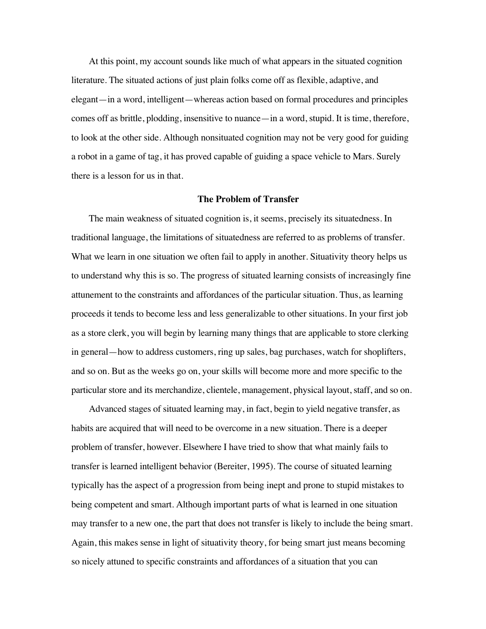At this point, my account sounds like much of what appears in the situated cognition literature. The situated actions of just plain folks come off as flexible, adaptive, and elegant—in a word, intelligent—whereas action based on formal procedures and principles comes off as brittle, plodding, insensitive to nuance—in a word, stupid. It is time, therefore, to look at the other side. Although nonsituated cognition may not be very good for guiding a robot in a game of tag, it has proved capable of guiding a space vehicle to Mars. Surely there is a lesson for us in that.

#### **The Problem of Transfer**

The main weakness of situated cognition is, it seems, precisely its situatedness. In traditional language, the limitations of situatedness are referred to as problems of transfer. What we learn in one situation we often fail to apply in another. Situativity theory helps us to understand why this is so. The progress of situated learning consists of increasingly fine attunement to the constraints and affordances of the particular situation. Thus, as learning proceeds it tends to become less and less generalizable to other situations. In your first job as a store clerk, you will begin by learning many things that are applicable to store clerking in general—how to address customers, ring up sales, bag purchases, watch for shoplifters, and so on. But as the weeks go on, your skills will become more and more specific to the particular store and its merchandize, clientele, management, physical layout, staff, and so on.

Advanced stages of situated learning may, in fact, begin to yield negative transfer, as habits are acquired that will need to be overcome in a new situation. There is a deeper problem of transfer, however. Elsewhere I have tried to show that what mainly fails to transfer is learned intelligent behavior (Bereiter, 1995). The course of situated learning typically has the aspect of a progression from being inept and prone to stupid mistakes to being competent and smart. Although important parts of what is learned in one situation may transfer to a new one, the part that does not transfer is likely to include the being smart. Again, this makes sense in light of situativity theory, for being smart just means becoming so nicely attuned to specific constraints and affordances of a situation that you can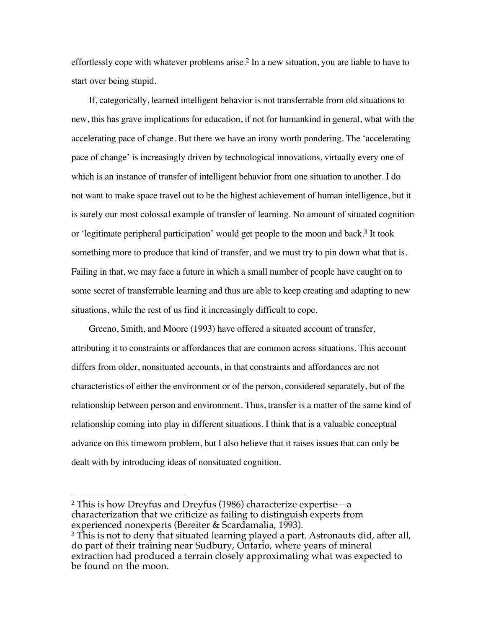effortlessly cope with whatever problems arise.2 In a new situation, you are liable to have to start over being stupid.

If, categorically, learned intelligent behavior is not transferrable from old situations to new, this has grave implications for education, if not for humankind in general, what with the accelerating pace of change. But there we have an irony worth pondering. The 'accelerating pace of change' is increasingly driven by technological innovations, virtually every one of which is an instance of transfer of intelligent behavior from one situation to another. I do not want to make space travel out to be the highest achievement of human intelligence, but it is surely our most colossal example of transfer of learning. No amount of situated cognition or 'legitimate peripheral participation' would get people to the moon and back.3 It took something more to produce that kind of transfer, and we must try to pin down what that is. Failing in that, we may face a future in which a small number of people have caught on to some secret of transferrable learning and thus are able to keep creating and adapting to new situations, while the rest of us find it increasingly difficult to cope.

Greeno, Smith, and Moore (1993) have offered a situated account of transfer, attributing it to constraints or affordances that are common across situations. This account differs from older, nonsituated accounts, in that constraints and affordances are not characteristics of either the environment or of the person, considered separately, but of the relationship between person and environment. Thus, transfer is a matter of the same kind of relationship coming into play in different situations. I think that is a valuable conceptual advance on this timeworn problem, but I also believe that it raises issues that can only be dealt with by introducing ideas of nonsituated cognition.

 $\overline{a}$ 

<sup>2</sup> This is how Dreyfus and Dreyfus (1986) characterize expertise—a characterization that we criticize as failing to distinguish experts from experienced nonexperts (Bereiter & Scardamalia, 1993).

 $3$  This is not to deny that situated learning played a part. Astronauts did, after all, do part of their training near Sudbury, Ontario, where years of mineral extraction had produced a terrain closely approximating what was expected to be found on the moon.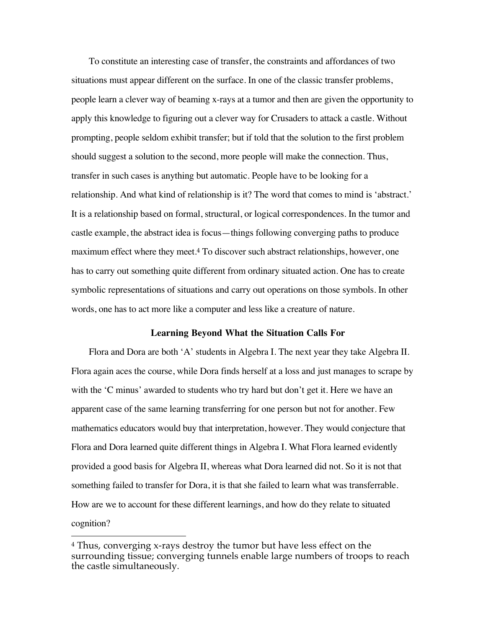To constitute an interesting case of transfer, the constraints and affordances of two situations must appear different on the surface. In one of the classic transfer problems, people learn a clever way of beaming x-rays at a tumor and then are given the opportunity to apply this knowledge to figuring out a clever way for Crusaders to attack a castle. Without prompting, people seldom exhibit transfer; but if told that the solution to the first problem should suggest a solution to the second, more people will make the connection. Thus, transfer in such cases is anything but automatic. People have to be looking for a relationship. And what kind of relationship is it? The word that comes to mind is 'abstract.' It is a relationship based on formal, structural, or logical correspondences. In the tumor and castle example, the abstract idea is focus—things following converging paths to produce maximum effect where they meet.4 To discover such abstract relationships, however, one has to carry out something quite different from ordinary situated action. One has to create symbolic representations of situations and carry out operations on those symbols. In other words, one has to act more like a computer and less like a creature of nature.

#### **Learning Beyond What the Situation Calls For**

Flora and Dora are both 'A' students in Algebra I. The next year they take Algebra II. Flora again aces the course, while Dora finds herself at a loss and just manages to scrape by with the 'C minus' awarded to students who try hard but don't get it. Here we have an apparent case of the same learning transferring for one person but not for another. Few mathematics educators would buy that interpretation, however. They would conjecture that Flora and Dora learned quite different things in Algebra I. What Flora learned evidently provided a good basis for Algebra II, whereas what Dora learned did not. So it is not that something failed to transfer for Dora, it is that she failed to learn what was transferrable. How are we to account for these different learnings, and how do they relate to situated cognition?

 $\overline{a}$ 

<sup>&</sup>lt;sup>4</sup> Thus, converging x-rays destroy the tumor but have less effect on the surrounding tissue; converging tunnels enable large numbers of troops to reach the castle simultaneously.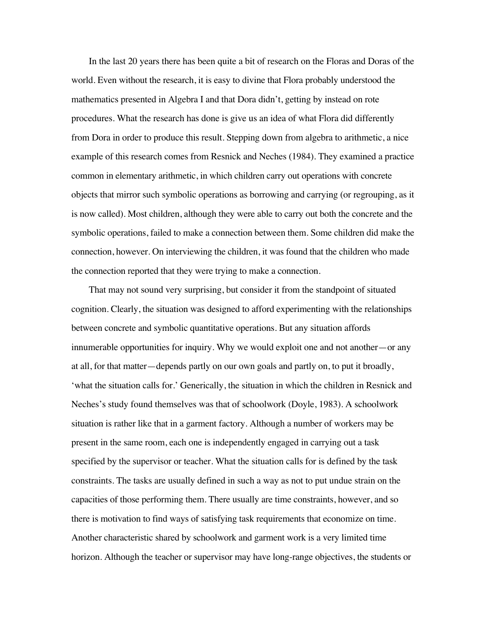In the last 20 years there has been quite a bit of research on the Floras and Doras of the world. Even without the research, it is easy to divine that Flora probably understood the mathematics presented in Algebra I and that Dora didn't, getting by instead on rote procedures. What the research has done is give us an idea of what Flora did differently from Dora in order to produce this result. Stepping down from algebra to arithmetic, a nice example of this research comes from Resnick and Neches (1984). They examined a practice common in elementary arithmetic, in which children carry out operations with concrete objects that mirror such symbolic operations as borrowing and carrying (or regrouping, as it is now called). Most children, although they were able to carry out both the concrete and the symbolic operations, failed to make a connection between them. Some children did make the connection, however. On interviewing the children, it was found that the children who made the connection reported that they were trying to make a connection.

That may not sound very surprising, but consider it from the standpoint of situated cognition. Clearly, the situation was designed to afford experimenting with the relationships between concrete and symbolic quantitative operations. But any situation affords innumerable opportunities for inquiry. Why we would exploit one and not another—or any at all, for that matter—depends partly on our own goals and partly on, to put it broadly, 'what the situation calls for.' Generically, the situation in which the children in Resnick and Neches's study found themselves was that of schoolwork (Doyle, 1983). A schoolwork situation is rather like that in a garment factory. Although a number of workers may be present in the same room, each one is independently engaged in carrying out a task specified by the supervisor or teacher. What the situation calls for is defined by the task constraints. The tasks are usually defined in such a way as not to put undue strain on the capacities of those performing them. There usually are time constraints, however, and so there is motivation to find ways of satisfying task requirements that economize on time. Another characteristic shared by schoolwork and garment work is a very limited time horizon. Although the teacher or supervisor may have long-range objectives, the students or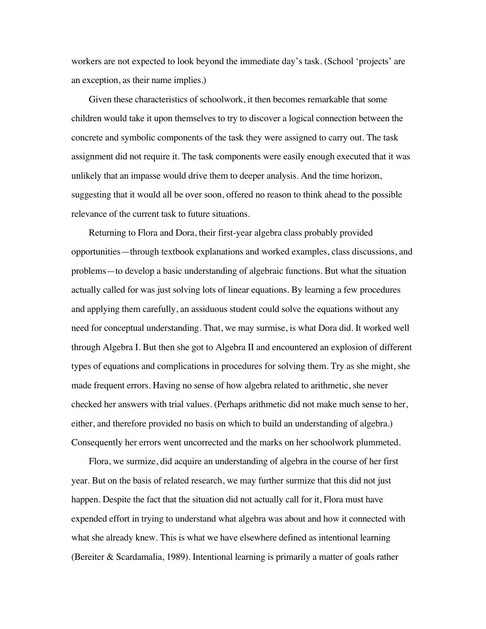workers are not expected to look beyond the immediate day's task. (School 'projects' are an exception, as their name implies.)

Given these characteristics of schoolwork, it then becomes remarkable that some children would take it upon themselves to try to discover a logical connection between the concrete and symbolic components of the task they were assigned to carry out. The task assignment did not require it. The task components were easily enough executed that it was unlikely that an impasse would drive them to deeper analysis. And the time horizon, suggesting that it would all be over soon, offered no reason to think ahead to the possible relevance of the current task to future situations.

Returning to Flora and Dora, their first-year algebra class probably provided opportunities—through textbook explanations and worked examples, class discussions, and problems—to develop a basic understanding of algebraic functions. But what the situation actually called for was just solving lots of linear equations. By learning a few procedures and applying them carefully, an assiduous student could solve the equations without any need for conceptual understanding. That, we may surmise, is what Dora did. It worked well through Algebra I. But then she got to Algebra II and encountered an explosion of different types of equations and complications in procedures for solving them. Try as she might, she made frequent errors. Having no sense of how algebra related to arithmetic, she never checked her answers with trial values. (Perhaps arithmetic did not make much sense to her, either, and therefore provided no basis on which to build an understanding of algebra.) Consequently her errors went uncorrected and the marks on her schoolwork plummeted.

Flora, we surmize, did acquire an understanding of algebra in the course of her first year. But on the basis of related research, we may further surmize that this did not just happen. Despite the fact that the situation did not actually call for it, Flora must have expended effort in trying to understand what algebra was about and how it connected with what she already knew. This is what we have elsewhere defined as intentional learning (Bereiter & Scardamalia, 1989). Intentional learning is primarily a matter of goals rather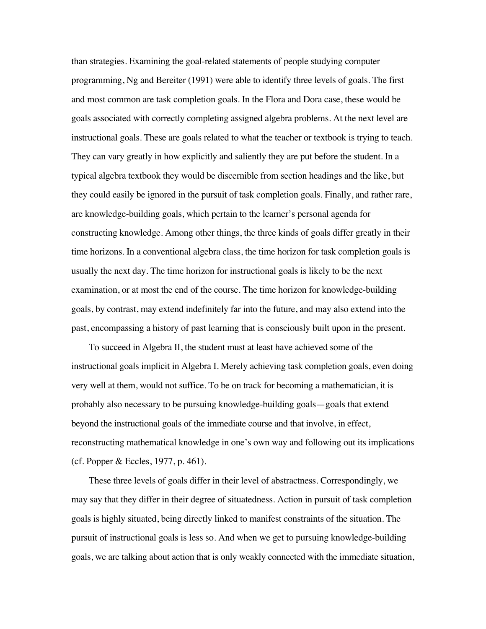than strategies. Examining the goal-related statements of people studying computer programming, Ng and Bereiter (1991) were able to identify three levels of goals. The first and most common are task completion goals. In the Flora and Dora case, these would be goals associated with correctly completing assigned algebra problems. At the next level are instructional goals. These are goals related to what the teacher or textbook is trying to teach. They can vary greatly in how explicitly and saliently they are put before the student. In a typical algebra textbook they would be discernible from section headings and the like, but they could easily be ignored in the pursuit of task completion goals. Finally, and rather rare, are knowledge-building goals, which pertain to the learner's personal agenda for constructing knowledge. Among other things, the three kinds of goals differ greatly in their time horizons. In a conventional algebra class, the time horizon for task completion goals is usually the next day. The time horizon for instructional goals is likely to be the next examination, or at most the end of the course. The time horizon for knowledge-building goals, by contrast, may extend indefinitely far into the future, and may also extend into the past, encompassing a history of past learning that is consciously built upon in the present.

To succeed in Algebra II, the student must at least have achieved some of the instructional goals implicit in Algebra I. Merely achieving task completion goals, even doing very well at them, would not suffice. To be on track for becoming a mathematician, it is probably also necessary to be pursuing knowledge-building goals—goals that extend beyond the instructional goals of the immediate course and that involve, in effect, reconstructing mathematical knowledge in one's own way and following out its implications (cf. Popper & Eccles, 1977, p. 461).

These three levels of goals differ in their level of abstractness. Correspondingly, we may say that they differ in their degree of situatedness. Action in pursuit of task completion goals is highly situated, being directly linked to manifest constraints of the situation. The pursuit of instructional goals is less so. And when we get to pursuing knowledge-building goals, we are talking about action that is only weakly connected with the immediate situation,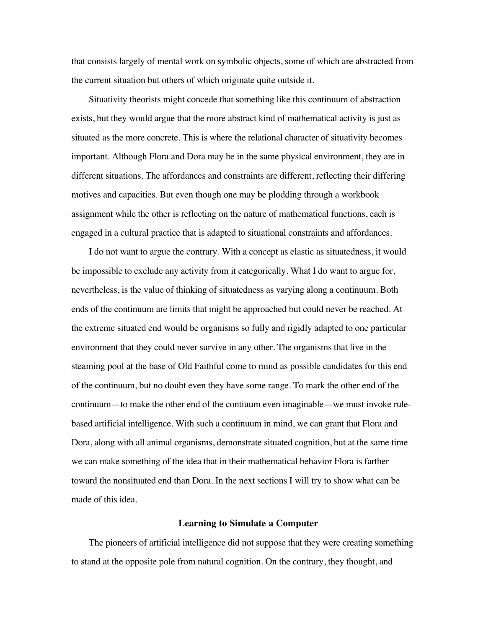that consists largely of mental work on symbolic objects, some of which are abstracted from the current situation but others of which originate quite outside it.

Situativity theorists might concede that something like this continuum of abstraction exists, but they would argue that the more abstract kind of mathematical activity is just as situated as the more concrete. This is where the relational character of situativity becomes important. Although Flora and Dora may be in the same physical environment, they are in different situations. The affordances and constraints are different, reflecting their differing motives and capacities. But even though one may be plodding through a workbook assignment while the other is reflecting on the nature of mathematical functions, each is engaged in a cultural practice that is adapted to situational constraints and affordances.

I do not want to argue the contrary. With a concept as elastic as situatedness, it would be impossible to exclude any activity from it categorically. What I do want to argue for, nevertheless, is the value of thinking of situatedness as varying along a continuum. Both ends of the continuum are limits that might be approached but could never be reached. At the extreme situated end would be organisms so fully and rigidly adapted to one particular environment that they could never survive in any other. The organisms that live in the steaming pool at the base of Old Faithful come to mind as possible candidates for this end of the continuum, but no doubt even they have some range. To mark the other end of the continuum—to make the other end of the contiuum even imaginable—we must invoke rulebased artificial intelligence. With such a continuum in mind, we can grant that Flora and Dora, along with all animal organisms, demonstrate situated cognition, but at the same time we can make something of the idea that in their mathematical behavior Flora is farther toward the nonsituated end than Dora. In the next sections I will try to show what can be made of this idea.

# **Learning to Simulate a Computer**

The pioneers of artificial intelligence did not suppose that they were creating something to stand at the opposite pole from natural cognition. On the contrary, they thought, and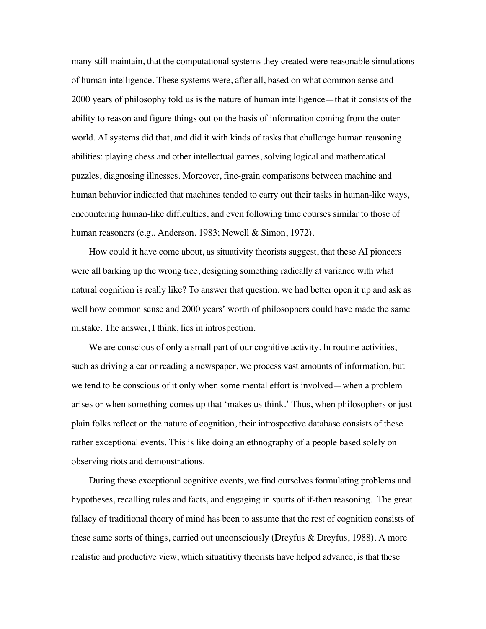many still maintain, that the computational systems they created were reasonable simulations of human intelligence. These systems were, after all, based on what common sense and 2000 years of philosophy told us is the nature of human intelligence—that it consists of the ability to reason and figure things out on the basis of information coming from the outer world. AI systems did that, and did it with kinds of tasks that challenge human reasoning abilities: playing chess and other intellectual games, solving logical and mathematical puzzles, diagnosing illnesses. Moreover, fine-grain comparisons between machine and human behavior indicated that machines tended to carry out their tasks in human-like ways, encountering human-like difficulties, and even following time courses similar to those of human reasoners (e.g., Anderson, 1983; Newell & Simon, 1972).

How could it have come about, as situativity theorists suggest, that these AI pioneers were all barking up the wrong tree, designing something radically at variance with what natural cognition is really like? To answer that question, we had better open it up and ask as well how common sense and 2000 years' worth of philosophers could have made the same mistake. The answer, I think, lies in introspection.

We are conscious of only a small part of our cognitive activity. In routine activities, such as driving a car or reading a newspaper, we process vast amounts of information, but we tend to be conscious of it only when some mental effort is involved—when a problem arises or when something comes up that 'makes us think.' Thus, when philosophers or just plain folks reflect on the nature of cognition, their introspective database consists of these rather exceptional events. This is like doing an ethnography of a people based solely on observing riots and demonstrations.

During these exceptional cognitive events, we find ourselves formulating problems and hypotheses, recalling rules and facts, and engaging in spurts of if-then reasoning. The great fallacy of traditional theory of mind has been to assume that the rest of cognition consists of these same sorts of things, carried out unconsciously (Dreyfus & Dreyfus, 1988). A more realistic and productive view, which situatitivy theorists have helped advance, is that these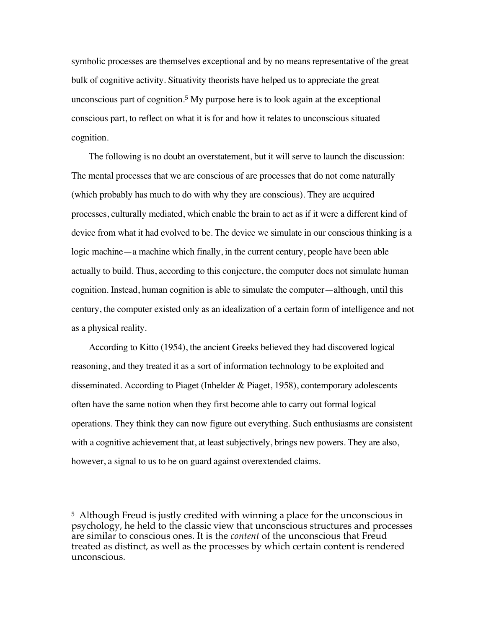symbolic processes are themselves exceptional and by no means representative of the great bulk of cognitive activity. Situativity theorists have helped us to appreciate the great unconscious part of cognition.<sup>5</sup> My purpose here is to look again at the exceptional conscious part, to reflect on what it is for and how it relates to unconscious situated cognition.

The following is no doubt an overstatement, but it will serve to launch the discussion: The mental processes that we are conscious of are processes that do not come naturally (which probably has much to do with why they are conscious). They are acquired processes, culturally mediated, which enable the brain to act as if it were a different kind of device from what it had evolved to be. The device we simulate in our conscious thinking is a logic machine—a machine which finally, in the current century, people have been able actually to build. Thus, according to this conjecture, the computer does not simulate human cognition. Instead, human cognition is able to simulate the computer—although, until this century, the computer existed only as an idealization of a certain form of intelligence and not as a physical reality.

According to Kitto (1954), the ancient Greeks believed they had discovered logical reasoning, and they treated it as a sort of information technology to be exploited and disseminated. According to Piaget (Inhelder  $\&$  Piaget, 1958), contemporary adolescents often have the same notion when they first become able to carry out formal logical operations. They think they can now figure out everything. Such enthusiasms are consistent with a cognitive achievement that, at least subjectively, brings new powers. They are also, however, a signal to us to be on guard against overextended claims.

 $\overline{a}$ 

<sup>5</sup> Although Freud is justly credited with winning a place for the unconscious in psychology, he held to the classic view that unconscious structures and processes are similar to conscious ones. It is the *content* of the unconscious that Freud treated as distinct, as well as the processes by which certain content is rendered unconscious.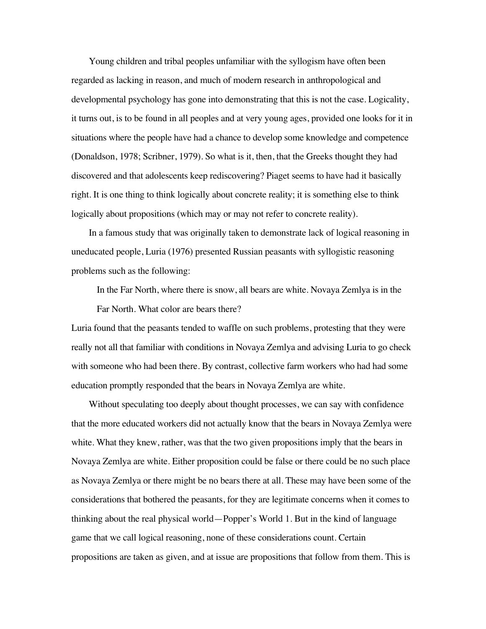Young children and tribal peoples unfamiliar with the syllogism have often been regarded as lacking in reason, and much of modern research in anthropological and developmental psychology has gone into demonstrating that this is not the case. Logicality, it turns out, is to be found in all peoples and at very young ages, provided one looks for it in situations where the people have had a chance to develop some knowledge and competence (Donaldson, 1978; Scribner, 1979). So what is it, then, that the Greeks thought they had discovered and that adolescents keep rediscovering? Piaget seems to have had it basically right. It is one thing to think logically about concrete reality; it is something else to think logically about propositions (which may or may not refer to concrete reality).

In a famous study that was originally taken to demonstrate lack of logical reasoning in uneducated people, Luria (1976) presented Russian peasants with syllogistic reasoning problems such as the following:

In the Far North, where there is snow, all bears are white. Novaya Zemlya is in the Far North. What color are bears there?

Luria found that the peasants tended to waffle on such problems, protesting that they were really not all that familiar with conditions in Novaya Zemlya and advising Luria to go check with someone who had been there. By contrast, collective farm workers who had had some education promptly responded that the bears in Novaya Zemlya are white.

Without speculating too deeply about thought processes, we can say with confidence that the more educated workers did not actually know that the bears in Novaya Zemlya were white. What they knew, rather, was that the two given propositions imply that the bears in Novaya Zemlya are white. Either proposition could be false or there could be no such place as Novaya Zemlya or there might be no bears there at all. These may have been some of the considerations that bothered the peasants, for they are legitimate concerns when it comes to thinking about the real physical world—Popper's World 1. But in the kind of language game that we call logical reasoning, none of these considerations count. Certain propositions are taken as given, and at issue are propositions that follow from them. This is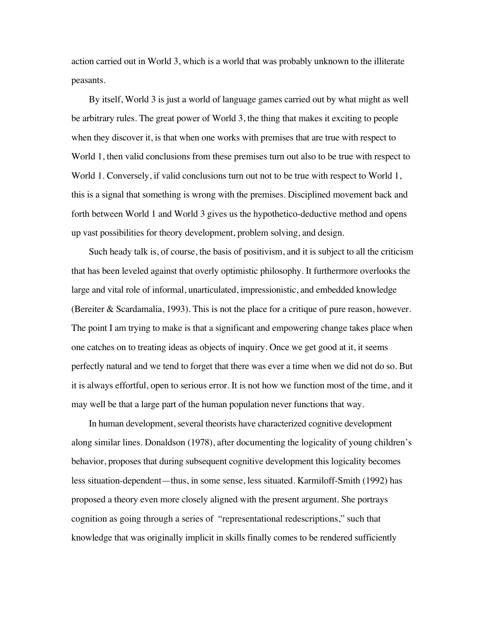action carried out in World 3, which is a world that was probably unknown to the illiterate peasants.

By itself, World 3 is just a world of language games carried out by what might as well be arbitrary rules. The great power of World 3, the thing that makes it exciting to people when they discover it, is that when one works with premises that are true with respect to World 1, then valid conclusions from these premises turn out also to be true with respect to World 1. Conversely, if valid conclusions turn out not to be true with respect to World 1, this is a signal that something is wrong with the premises. Disciplined movement back and forth between World 1 and World 3 gives us the hypothetico-deductive method and opens up vast possibilities for theory development, problem solving, and design.

Such heady talk is, of course, the basis of positivism, and it is subject to all the criticism that has been leveled against that overly optimistic philosophy. It furthermore overlooks the large and vital role of informal, unarticulated, impressionistic, and embedded knowledge (Bereiter & Scardamalia, 1993). This is not the place for a critique of pure reason, however. The point I am trying to make is that a significant and empowering change takes place when one catches on to treating ideas as objects of inquiry. Once we get good at it, it seems perfectly natural and we tend to forget that there was ever a time when we did not do so. But it is always effortful, open to serious error. It is not how we function most of the time, and it may well be that a large part of the human population never functions that way.

In human development, several theorists have characterized cognitive development along similar lines. Donaldson (1978), after documenting the logicality of young children's behavior, proposes that during subsequent cognitive development this logicality becomes less situation-dependent—thus, in some sense, less situated. Karmiloff-Smith (1992) has proposed a theory even more closely aligned with the present argument. She portrays cognition as going through a series of "representational redescriptions," such that knowledge that was originally implicit in skills finally comes to be rendered sufficiently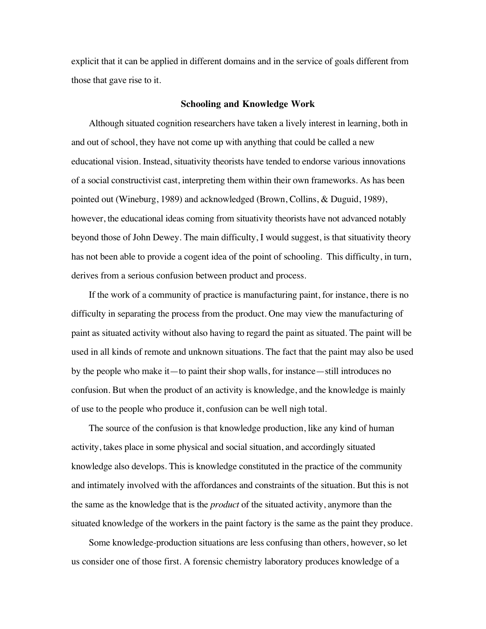explicit that it can be applied in different domains and in the service of goals different from those that gave rise to it.

#### **Schooling and Knowledge Work**

Although situated cognition researchers have taken a lively interest in learning, both in and out of school, they have not come up with anything that could be called a new educational vision. Instead, situativity theorists have tended to endorse various innovations of a social constructivist cast, interpreting them within their own frameworks. As has been pointed out (Wineburg, 1989) and acknowledged (Brown, Collins, & Duguid, 1989), however, the educational ideas coming from situativity theorists have not advanced notably beyond those of John Dewey. The main difficulty, I would suggest, is that situativity theory has not been able to provide a cogent idea of the point of schooling. This difficulty, in turn, derives from a serious confusion between product and process.

If the work of a community of practice is manufacturing paint, for instance, there is no difficulty in separating the process from the product. One may view the manufacturing of paint as situated activity without also having to regard the paint as situated. The paint will be used in all kinds of remote and unknown situations. The fact that the paint may also be used by the people who make it—to paint their shop walls, for instance—still introduces no confusion. But when the product of an activity is knowledge, and the knowledge is mainly of use to the people who produce it, confusion can be well nigh total.

The source of the confusion is that knowledge production, like any kind of human activity, takes place in some physical and social situation, and accordingly situated knowledge also develops. This is knowledge constituted in the practice of the community and intimately involved with the affordances and constraints of the situation. But this is not the same as the knowledge that is the *product* of the situated activity, anymore than the situated knowledge of the workers in the paint factory is the same as the paint they produce.

Some knowledge-production situations are less confusing than others, however, so let us consider one of those first. A forensic chemistry laboratory produces knowledge of a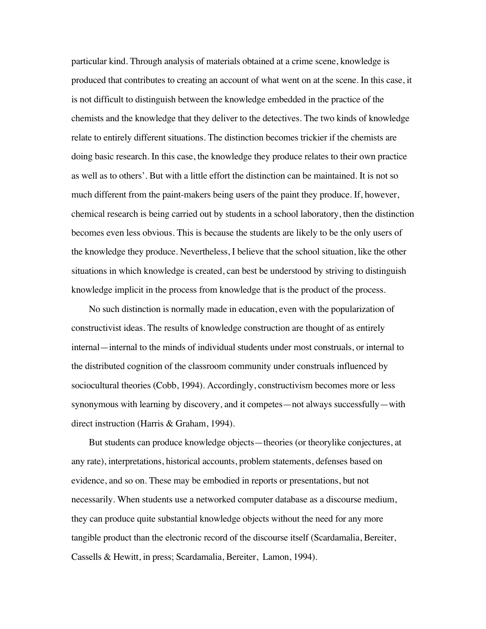particular kind. Through analysis of materials obtained at a crime scene, knowledge is produced that contributes to creating an account of what went on at the scene. In this case, it is not difficult to distinguish between the knowledge embedded in the practice of the chemists and the knowledge that they deliver to the detectives. The two kinds of knowledge relate to entirely different situations. The distinction becomes trickier if the chemists are doing basic research. In this case, the knowledge they produce relates to their own practice as well as to others'. But with a little effort the distinction can be maintained. It is not so much different from the paint-makers being users of the paint they produce. If, however, chemical research is being carried out by students in a school laboratory, then the distinction becomes even less obvious. This is because the students are likely to be the only users of the knowledge they produce. Nevertheless, I believe that the school situation, like the other situations in which knowledge is created, can best be understood by striving to distinguish knowledge implicit in the process from knowledge that is the product of the process.

No such distinction is normally made in education, even with the popularization of constructivist ideas. The results of knowledge construction are thought of as entirely internal—internal to the minds of individual students under most construals, or internal to the distributed cognition of the classroom community under construals influenced by sociocultural theories (Cobb, 1994). Accordingly, constructivism becomes more or less synonymous with learning by discovery, and it competes—not always successfully—with direct instruction (Harris & Graham, 1994).

But students can produce knowledge objects—theories (or theorylike conjectures, at any rate), interpretations, historical accounts, problem statements, defenses based on evidence, and so on. These may be embodied in reports or presentations, but not necessarily. When students use a networked computer database as a discourse medium, they can produce quite substantial knowledge objects without the need for any more tangible product than the electronic record of the discourse itself (Scardamalia, Bereiter, Cassells & Hewitt, in press; Scardamalia, Bereiter, Lamon, 1994).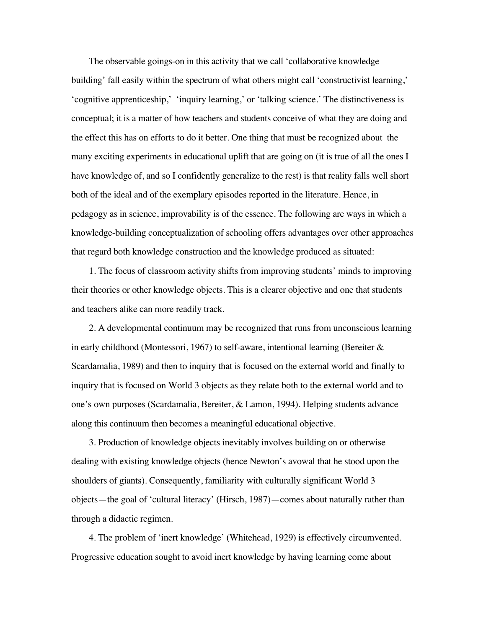The observable goings-on in this activity that we call 'collaborative knowledge building' fall easily within the spectrum of what others might call 'constructivist learning,' 'cognitive apprenticeship,' 'inquiry learning,' or 'talking science.' The distinctiveness is conceptual; it is a matter of how teachers and students conceive of what they are doing and the effect this has on efforts to do it better. One thing that must be recognized about the many exciting experiments in educational uplift that are going on (it is true of all the ones I have knowledge of, and so I confidently generalize to the rest) is that reality falls well short both of the ideal and of the exemplary episodes reported in the literature. Hence, in pedagogy as in science, improvability is of the essence. The following are ways in which a knowledge-building conceptualization of schooling offers advantages over other approaches that regard both knowledge construction and the knowledge produced as situated:

1. The focus of classroom activity shifts from improving students' minds to improving their theories or other knowledge objects. This is a clearer objective and one that students and teachers alike can more readily track.

2. A developmental continuum may be recognized that runs from unconscious learning in early childhood (Montessori, 1967) to self-aware, intentional learning (Bereiter & Scardamalia, 1989) and then to inquiry that is focused on the external world and finally to inquiry that is focused on World 3 objects as they relate both to the external world and to one's own purposes (Scardamalia, Bereiter, & Lamon, 1994). Helping students advance along this continuum then becomes a meaningful educational objective.

3. Production of knowledge objects inevitably involves building on or otherwise dealing with existing knowledge objects (hence Newton's avowal that he stood upon the shoulders of giants). Consequently, familiarity with culturally significant World 3 objects—the goal of 'cultural literacy' (Hirsch, 1987)—comes about naturally rather than through a didactic regimen.

4. The problem of 'inert knowledge' (Whitehead, 1929) is effectively circumvented. Progressive education sought to avoid inert knowledge by having learning come about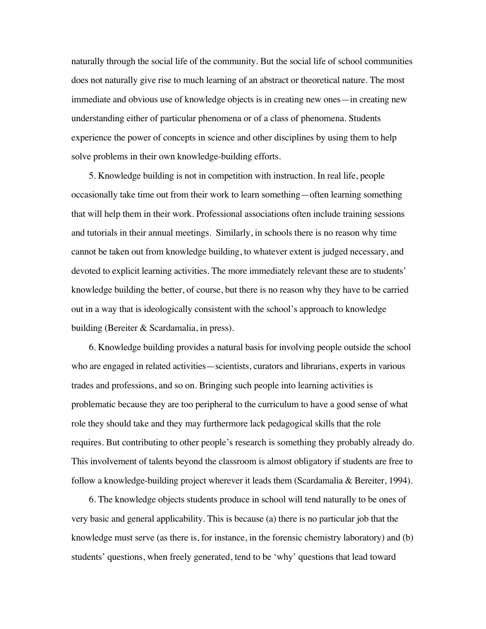naturally through the social life of the community. But the social life of school communities does not naturally give rise to much learning of an abstract or theoretical nature. The most immediate and obvious use of knowledge objects is in creating new ones—in creating new understanding either of particular phenomena or of a class of phenomena. Students experience the power of concepts in science and other disciplines by using them to help solve problems in their own knowledge-building efforts.

5. Knowledge building is not in competition with instruction. In real life, people occasionally take time out from their work to learn something—often learning something that will help them in their work. Professional associations often include training sessions and tutorials in their annual meetings. Similarly, in schools there is no reason why time cannot be taken out from knowledge building, to whatever extent is judged necessary, and devoted to explicit learning activities. The more immediately relevant these are to students' knowledge building the better, of course, but there is no reason why they have to be carried out in a way that is ideologically consistent with the school's approach to knowledge building (Bereiter & Scardamalia, in press).

6. Knowledge building provides a natural basis for involving people outside the school who are engaged in related activities—scientists, curators and librarians, experts in various trades and professions, and so on. Bringing such people into learning activities is problematic because they are too peripheral to the curriculum to have a good sense of what role they should take and they may furthermore lack pedagogical skills that the role requires. But contributing to other people's research is something they probably already do. This involvement of talents beyond the classroom is almost obligatory if students are free to follow a knowledge-building project wherever it leads them (Scardamalia & Bereiter, 1994).

6. The knowledge objects students produce in school will tend naturally to be ones of very basic and general applicability. This is because (a) there is no particular job that the knowledge must serve (as there is, for instance, in the forensic chemistry laboratory) and (b) students' questions, when freely generated, tend to be 'why' questions that lead toward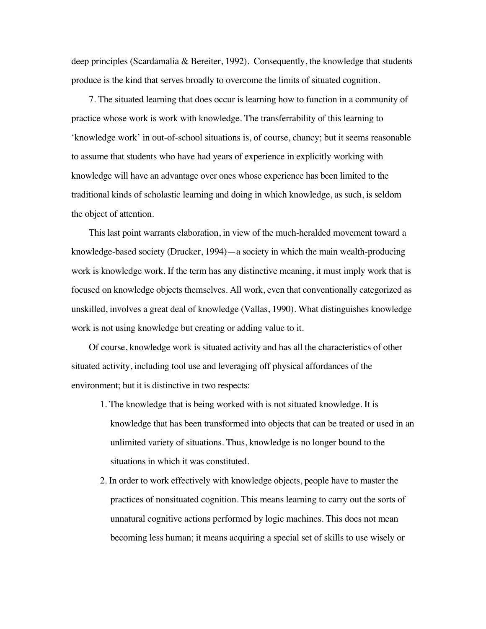deep principles (Scardamalia & Bereiter, 1992). Consequently, the knowledge that students produce is the kind that serves broadly to overcome the limits of situated cognition.

7. The situated learning that does occur is learning how to function in a community of practice whose work is work with knowledge. The transferrability of this learning to 'knowledge work' in out-of-school situations is, of course, chancy; but it seems reasonable to assume that students who have had years of experience in explicitly working with knowledge will have an advantage over ones whose experience has been limited to the traditional kinds of scholastic learning and doing in which knowledge, as such, is seldom the object of attention.

This last point warrants elaboration, in view of the much-heralded movement toward a knowledge-based society (Drucker, 1994)—a society in which the main wealth-producing work is knowledge work. If the term has any distinctive meaning, it must imply work that is focused on knowledge objects themselves. All work, even that conventionally categorized as unskilled, involves a great deal of knowledge (Vallas, 1990). What distinguishes knowledge work is not using knowledge but creating or adding value to it.

Of course, knowledge work is situated activity and has all the characteristics of other situated activity, including tool use and leveraging off physical affordances of the environment; but it is distinctive in two respects:

- 1. The knowledge that is being worked with is not situated knowledge. It is knowledge that has been transformed into objects that can be treated or used in an unlimited variety of situations. Thus, knowledge is no longer bound to the situations in which it was constituted.
- 2. In order to work effectively with knowledge objects, people have to master the practices of nonsituated cognition. This means learning to carry out the sorts of unnatural cognitive actions performed by logic machines. This does not mean becoming less human; it means acquiring a special set of skills to use wisely or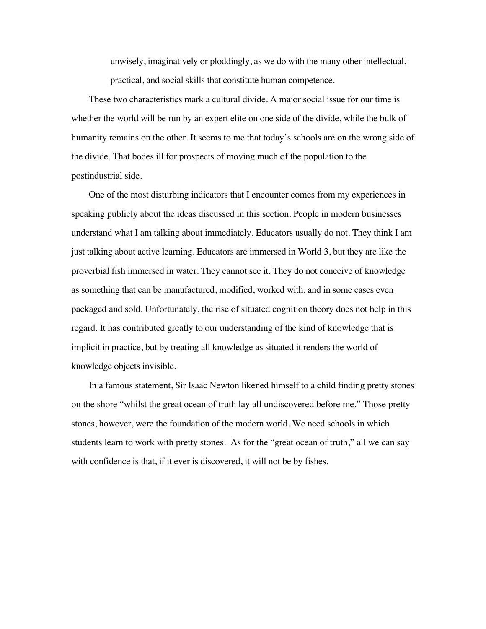unwisely, imaginatively or ploddingly, as we do with the many other intellectual, practical, and social skills that constitute human competence.

These two characteristics mark a cultural divide. A major social issue for our time is whether the world will be run by an expert elite on one side of the divide, while the bulk of humanity remains on the other. It seems to me that today's schools are on the wrong side of the divide. That bodes ill for prospects of moving much of the population to the postindustrial side.

One of the most disturbing indicators that I encounter comes from my experiences in speaking publicly about the ideas discussed in this section. People in modern businesses understand what I am talking about immediately. Educators usually do not. They think I am just talking about active learning. Educators are immersed in World 3, but they are like the proverbial fish immersed in water. They cannot see it. They do not conceive of knowledge as something that can be manufactured, modified, worked with, and in some cases even packaged and sold. Unfortunately, the rise of situated cognition theory does not help in this regard. It has contributed greatly to our understanding of the kind of knowledge that is implicit in practice, but by treating all knowledge as situated it renders the world of knowledge objects invisible.

In a famous statement, Sir Isaac Newton likened himself to a child finding pretty stones on the shore "whilst the great ocean of truth lay all undiscovered before me." Those pretty stones, however, were the foundation of the modern world. We need schools in which students learn to work with pretty stones. As for the "great ocean of truth," all we can say with confidence is that, if it ever is discovered, it will not be by fishes.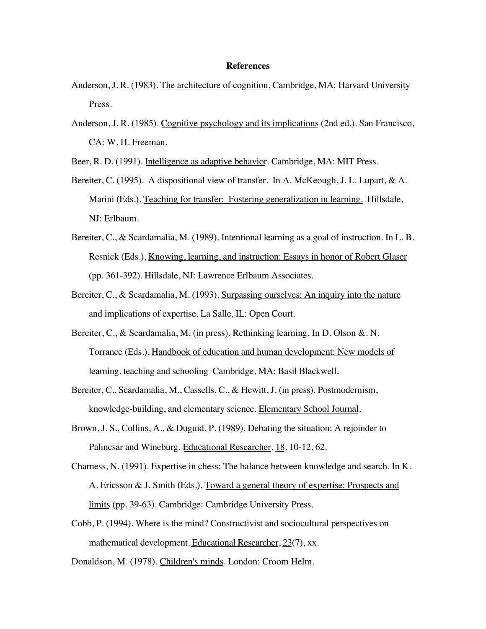### **References**

- Anderson, J. R. (1983). The architecture of cognition. Cambridge, MA: Harvard University Press.
- Anderson, J. R. (1985). Cognitive psychology and its implications (2nd ed.). San Francisco, CA: W. H. Freeman.
- Beer, R. D. (1991). Intelligence as adaptive behavior. Cambridge, MA: MIT Press.
- Bereiter, C. (1995). A dispositional view of transfer. In A. McKeough, J. L. Lupart, & A. Marini (Eds.), Teaching for transfer: Fostering generalization in learning. Hillsdale, NJ: Erlbaum.
- Bereiter, C., & Scardamalia, M. (1989). Intentional learning as a goal of instruction. In L. B. Resnick (Eds.), Knowing, learning, and instruction: Essays in honor of Robert Glaser (pp. 361-392). Hillsdale, NJ: Lawrence Erlbaum Associates.
- Bereiter, C., & Scardamalia, M. (1993). Surpassing ourselves: An inquiry into the nature and implications of expertise. La Salle, IL: Open Court.
- Bereiter, C., & Scardamalia, M. (in press). Rethinking learning. In D. Olson &. N. Torrance (Eds.), Handbook of education and human development: New models of learning, teaching and schooling Cambridge, MA: Basil Blackwell.
- Bereiter, C., Scardamalia, M., Cassells, C., & Hewitt, J. (in press). Postmodernism, knowledge-building, and elementary science. Elementary School Journal.
- Brown, J. S., Collins, A., & Duguid, P. (1989). Debating the situation: A rejoinder to Palincsar and Wineburg. Educational Researcher, 18, 10-12, 62.
- Charness, N. (1991). Expertise in chess: The balance between knowledge and search. In K. A. Ericsson & J. Smith (Eds.), Toward a general theory of expertise: Prospects and limits (pp. 39-63). Cambridge: Cambridge University Press.
- Cobb, P. (1994). Where is the mind? Constructivist and sociocultural perspectives on mathematical development. Educational Researcher, 23(7), xx.

Donaldson, M. (1978). Children's minds. London: Croom Helm.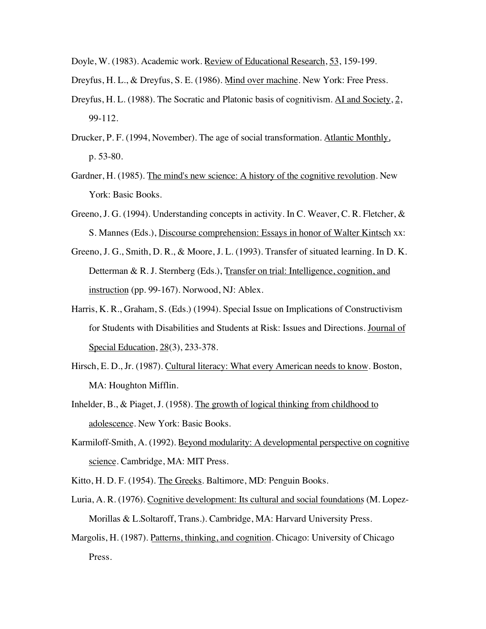- Doyle, W. (1983). Academic work. Review of Educational Research, 53, 159-199.
- Dreyfus, H. L., & Dreyfus, S. E. (1986). Mind over machine. New York: Free Press.
- Dreyfus, H. L. (1988). The Socratic and Platonic basis of cognitivism. AI and Society, 2, 99-112.
- Drucker, P. F. (1994, November). The age of social transformation. Atlantic Monthly, p. 53-80.
- Gardner, H. (1985). The mind's new science: A history of the cognitive revolution. New York: Basic Books.
- Greeno, J. G. (1994). Understanding concepts in activity. In C. Weaver, C. R. Fletcher, & S. Mannes (Eds.), Discourse comprehension: Essays in honor of Walter Kintsch xx:
- Greeno, J. G., Smith, D. R., & Moore, J. L. (1993). Transfer of situated learning. In D. K. Detterman & R. J. Sternberg (Eds.), Transfer on trial: Intelligence, cognition, and instruction (pp. 99-167). Norwood, NJ: Ablex.
- Harris, K. R., Graham, S. (Eds.) (1994). Special Issue on Implications of Constructivism for Students with Disabilities and Students at Risk: Issues and Directions. Journal of Special Education, 28(3), 233-378.
- Hirsch, E. D., Jr. (1987). Cultural literacy: What every American needs to know. Boston, MA: Houghton Mifflin.
- Inhelder, B., & Piaget, J. (1958). The growth of logical thinking from childhood to adolescence. New York: Basic Books.
- Karmiloff-Smith, A. (1992). Beyond modularity: A developmental perspective on cognitive science. Cambridge, MA: MIT Press.
- Kitto, H. D. F. (1954). The Greeks. Baltimore, MD: Penguin Books.
- Luria, A. R. (1976). Cognitive development: Its cultural and social foundations (M. Lopez-Morillas & L.Soltaroff, Trans.). Cambridge, MA: Harvard University Press.
- Margolis, H. (1987). Patterns, thinking, and cognition. Chicago: University of Chicago Press.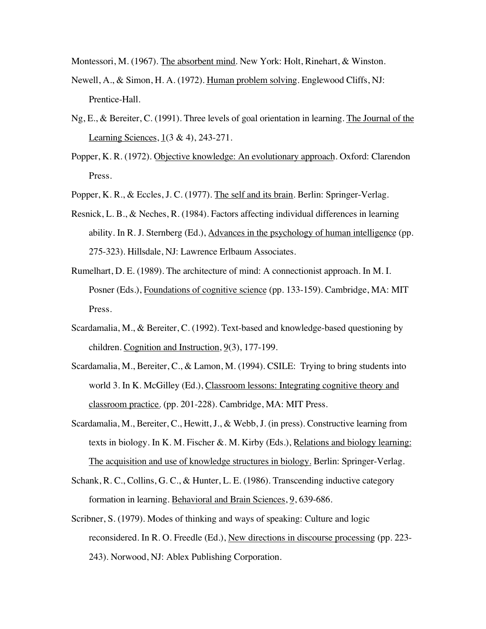Montessori, M. (1967). The absorbent mind. New York: Holt, Rinehart, & Winston.

- Newell, A., & Simon, H. A. (1972). Human problem solving. Englewood Cliffs, NJ: Prentice-Hall.
- Ng, E., & Bereiter, C. (1991). Three levels of goal orientation in learning. The Journal of the Learning Sciences, 1(3 & 4), 243-271.
- Popper, K. R. (1972). Objective knowledge: An evolutionary approach. Oxford: Clarendon Press.
- Popper, K. R., & Eccles, J. C. (1977). The self and its brain. Berlin: Springer-Verlag.
- Resnick, L. B., & Neches, R. (1984). Factors affecting individual differences in learning ability. In R. J. Sternberg (Ed.), Advances in the psychology of human intelligence (pp. 275-323). Hillsdale, NJ: Lawrence Erlbaum Associates.
- Rumelhart, D. E. (1989). The architecture of mind: A connectionist approach. In M. I. Posner (Eds.), Foundations of cognitive science (pp. 133-159). Cambridge, MA: MIT Press.
- Scardamalia, M., & Bereiter, C. (1992). Text-based and knowledge-based questioning by children. Cognition and Instruction, 9(3), 177-199.
- Scardamalia, M., Bereiter, C., & Lamon, M. (1994). CSILE: Trying to bring students into world 3. In K. McGilley (Ed.), Classroom lessons: Integrating cognitive theory and classroom practice. (pp. 201-228). Cambridge, MA: MIT Press.
- Scardamalia, M., Bereiter, C., Hewitt, J., & Webb, J. (in press). Constructive learning from texts in biology. In K. M. Fischer &. M. Kirby (Eds.), Relations and biology learning: The acquisition and use of knowledge structures in biology. Berlin: Springer-Verlag.
- Schank, R. C., Collins, G. C., & Hunter, L. E. (1986). Transcending inductive category formation in learning. Behavioral and Brain Sciences, 9, 639-686.
- Scribner, S. (1979). Modes of thinking and ways of speaking: Culture and logic reconsidered. In R. O. Freedle (Ed.), New directions in discourse processing (pp. 223- 243). Norwood, NJ: Ablex Publishing Corporation.